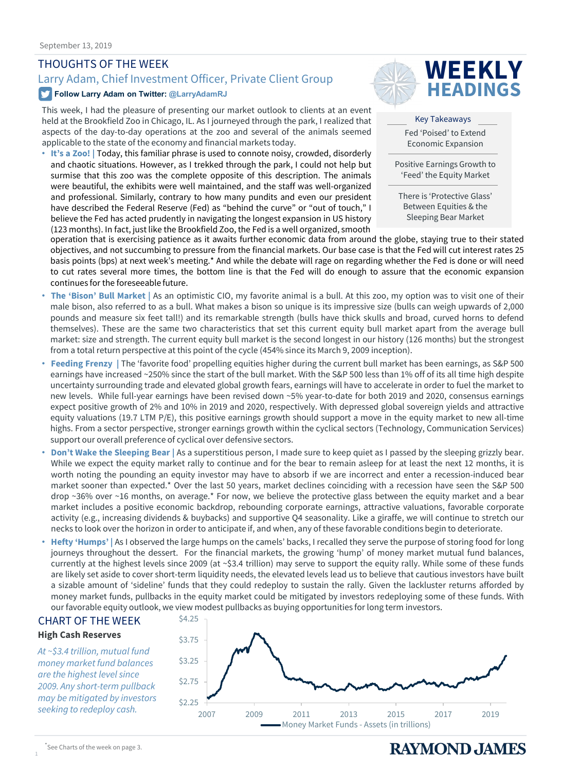### THOUGHTS OF THE WEEK

# Larry Adam, Chief Investment Officer, Private Client Group **WEEKLY**

#### **Follow Larry Adam on Twitter: @LarryAdamRJ**

This week, I had the pleasure of presenting our market outlook to clients at an event held at the Brookfield Zoo in Chicago, IL. As I journeyed through the park, I realized that aspects of the day-to-day operations at the zoo and several of the animals seemed applicable to the state of the economy and financial markets today.

• **It's a Zoo! |** Today, this familiar phrase is used to connote noisy, crowded, disorderly and chaotic situations. However, as I trekked through the park, I could not help but surmise that this zoo was the complete opposite of this description. The animals were beautiful, the exhibits were well maintained, and the staff was well-organized and professional. Similarly, contrary to how many pundits and even our president have described the Federal Reserve (Fed) as "behind the curve" or "out of touch," I believe the Fed has acted prudently in navigating the longest expansion in US history (123 months). In fact, just like the Brookfield Zoo, the Fed is a well organized, smooth



Key Takeaways Fed 'Poised' to Extend Economic Expansion

Positive Earnings Growth to 'Feed' the Equity Market

There is 'Protective Glass' Between Equities & the Sleeping Bear Market

operation that is exercising patience as it awaits further economic data from around the globe, staying true to their stated objectives, and not succumbing to pressure from the financial markets. Our base case is that the Fed will cut interest rates 25 basis points (bps) at next week's meeting.\* And while the debate will rage on regarding whether the Fed is done or will need to cut rates several more times, the bottom line is that the Fed will do enough to assure that the economic expansion continues for the foreseeable future.

- **The 'Bison' Bull Market |** As an optimistic CIO, my favorite animal is a bull. At this zoo, my option was to visit one of their male bison, also referred to as a bull. What makes a bison so unique is its impressive size (bulls can weigh upwards of 2,000 pounds and measure six feet tall!) and its remarkable strength (bulls have thick skulls and broad, curved horns to defend themselves). These are the same two characteristics that set this current equity bull market apart from the average bull market: size and strength. The current equity bull market is the second longest in our history (126 months) but the strongest from a total return perspective at this point of the cycle (454% since its March 9, 2009 inception).
- **Feeding Frenzy |** The 'favorite food' propelling equities higher during the current bull market has been earnings, as S&P 500 earnings have increased ~250% since the start of the bull market. With the S&P 500 less than 1% off of its all time high despite uncertainty surrounding trade and elevated global growth fears, earnings will have to accelerate in order to fuel the market to new levels. While full-year earnings have been revised down ~5% year-to-date for both 2019 and 2020, consensus earnings expect positive growth of 2% and 10% in 2019 and 2020, respectively. With depressed global sovereign yields and attractive equity valuations (19.7 LTM P/E), this positive earnings growth should support a move in the equity market to new all-time highs. From a sector perspective, stronger earnings growth within the cyclical sectors (Technology, Communication Services) support our overall preference of cyclical over defensive sectors.
- **Don't Wake the Sleeping Bear |** As a superstitious person, I made sure to keep quiet as I passed by the sleeping grizzly bear. While we expect the equity market rally to continue and for the bear to remain asleep for at least the next 12 months, it is worth noting the pounding an equity investor may have to absorb if we are incorrect and enter a recession-induced bear market sooner than expected.\* Over the last 50 years, market declines coinciding with a recession have seen the S&P 500 drop ~36% over ~16 months, on average.\* For now, we believe the protective glass between the equity market and a bear market includes a positive economic backdrop, rebounding corporate earnings, attractive valuations, favorable corporate activity (e.g., increasing dividends & buybacks) and supportive Q4 seasonality. Like a giraffe, we will continue to stretch our necks to look over the horizon in order to anticipate if, and when, any of these favorable conditions begin to deteriorate.
- **Hefty 'Humps' |** As I observed the large humps on the camels' backs, I recalled they serve the purpose of storing food for long journeys throughout the dessert. For the financial markets, the growing 'hump' of money market mutual fund balances, currently at the highest levels since 2009 (at ~\$3.4 trillion) may serve to support the equity rally. While some of these funds are likely set aside to cover short-term liquidity needs, the elevated levels lead us to believe that cautious investors have built a sizable amount of 'sideline' funds that they could redeploy to sustain the rally. Given the lackluster returns afforded by money market funds, pullbacks in the equity market could be mitigated by investors redeploying some of these funds. With our favorable equity outlook, we view modest pullbacks as buying opportunities for long term investors.

### CHART OF THE WEEK

**High Cash Reserves**

*At ~\$3.4 trillion, mutual fund money market fund balances are the highest level since 2009. Any short-term pullback may be mitigated by investors seeking to redeploy cash.* 



1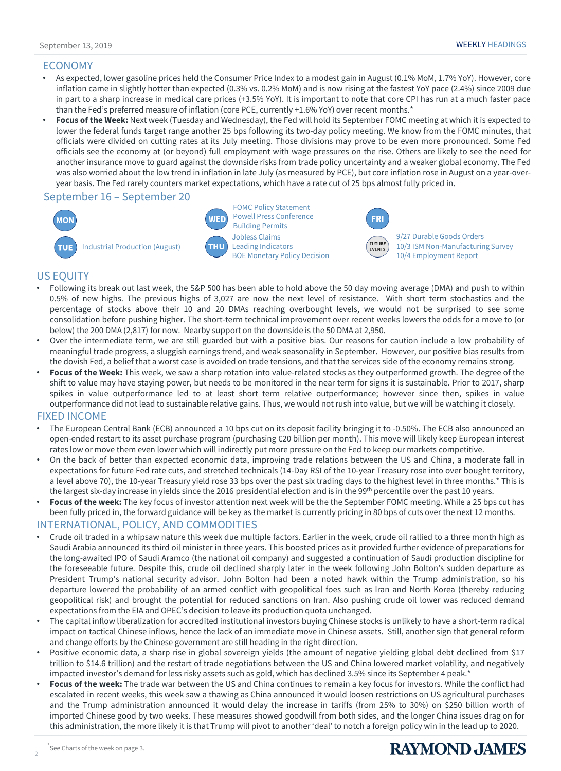#### ECONOMY

- As expected, lower gasoline prices held the Consumer Price Index to a modest gain in August (0.1% MoM, 1.7% YoY). However, core inflation came in slightly hotter than expected (0.3% vs. 0.2% MoM) and is now rising at the fastest YoY pace (2.4%) since 2009 due in part to a sharp increase in medical care prices (+3.5% YoY). It is important to note that core CPI has run at a much faster pace than the Fed's preferred measure of inflation (core PCE, currently +1.6% YoY) over recent months.\*
- **Focus of the Week:** Next week (Tuesday and Wednesday), the Fed will hold its September FOMC meeting at which it is expected to lower the federal funds target range another 25 bps following its two-day policy meeting. We know from the FOMC minutes, that officials were divided on cutting rates at its July meeting. Those divisions may prove to be even more pronounced. Some Fed officials see the economy at (or beyond) full employment with wage pressures on the rise. Others are likely to see the need for another insurance move to guard against the downside risks from trade policy uncertainty and a weaker global economy. The Fed was also worried about the low trend in inflation in late July (as measured by PCE), but core inflation rose in August on a year-overyear basis. The Fed rarely counters market expectations, which have a rate cut of 25 bps almost fully priced in.

#### September 16 – September 20



Jobless Claims Leading Indicators BOE Monetary Policy Decision FOMC Policy Statement Powell Press Conference Building Permits

**WED** 

THU



**EVENTS** 

9/27 Durable Goods Orders 10/3 ISM Non-Manufacturing Survey 10/4 Employment Report

#### US EQUITY

- Following its break out last week, the S&P 500 has been able to hold above the 50 day moving average (DMA) and push to within 0.5% of new highs. The previous highs of 3,027 are now the next level of resistance. With short term stochastics and the percentage of stocks above their 10 and 20 DMAs reaching overbought levels, we would not be surprised to see some consolidation before pushing higher. The short-term technical improvement over recent weeks lowers the odds for a move to (or below) the 200 DMA (2,817) for now. Nearby support on the downside is the 50 DMA at 2,950.
- Over the intermediate term, we are still guarded but with a positive bias. Our reasons for caution include a low probability of meaningful trade progress, a sluggish earnings trend, and weak seasonality in September. However, our positive bias results from the dovish Fed, a belief that a worst case is avoided on trade tensions, and that the services side of the economy remains strong.
- **Focus of the Week:** This week, we saw a sharp rotation into value-related stocks as they outperformed growth. The degree of the shift to value may have staying power, but needs to be monitored in the near term for signs it is sustainable. Prior to 2017, sharp spikes in value outperformance led to at least short term relative outperformance; however since then, spikes in value outperformance did not lead to sustainable relative gains. Thus, we would not rush into value, but we will be watching it closely.

#### FIXED INCOME

- The European Central Bank (ECB) announced a 10 bps cut on its deposit facility bringing it to -0.50%. The ECB also announced an open-ended restart to its asset purchase program (purchasing €20 billion per month). This move will likely keep European interest rates low or move them even lower which will indirectly put more pressure on the Fed to keep our markets competitive.
- On the back of better than expected economic data, improving trade relations between the US and China, a moderate fall in expectations for future Fed rate cuts, and stretched technicals (14-Day RSI of the 10-year Treasury rose into over bought territory, a level above 70), the 10-year Treasury yield rose 33 bps over the past six trading days to the highest level in three months.\* This is the largest six-day increase in yields since the 2016 presidential election and is in the 99<sup>th</sup> percentile over the past 10 years.
- **Focus of the week:** The key focus of investor attention next week will be the the September FOMC meeting. While a 25 bps cut has been fully priced in, the forward guidance will be key as the market is currently pricing in 80 bps of cuts over the next 12 months.

#### INTERNATIONAL, POLICY, AND COMMODITIES

- Crude oil traded in a whipsaw nature this week due multiple factors. Earlier in the week, crude oil rallied to a three month high as Saudi Arabia announced its third oil minister in three years. This boosted prices as it provided further evidence of preparations for the long-awaited IPO of Saudi Aramco (the national oil company) and suggested a continuation of Saudi production discipline for the foreseeable future. Despite this, crude oil declined sharply later in the week following John Bolton's sudden departure as President Trump's national security advisor. John Bolton had been a noted hawk within the Trump administration, so his departure lowered the probability of an armed conflict with geopolitical foes such as Iran and North Korea (thereby reducing geopolitical risk) and brought the potential for reduced sanctions on Iran. Also pushing crude oil lower was reduced demand expectations from the EIA and OPEC's decision to leave its production quota unchanged.
- The capital inflow liberalization for accredited institutional investors buying Chinese stocks is unlikely to have a short-term radical impact on tactical Chinese inflows, hence the lack of an immediate move in Chinese assets. Still, another sign that general reform and change efforts by the Chinese government are still heading in the right direction.
- Positive economic data, a sharp rise in global sovereign yields (the amount of negative yielding global debt declined from \$17 trillion to \$14.6 trillion) and the restart of trade negotiations between the US and China lowered market volatility, and negatively impacted investor's demand for less risky assets such as gold, which has declined 3.5% since its September 4 peak.\*
- **Focus of the week:** The trade war between the US and China continues to remain a key focus for investors. While the conflict had escalated in recent weeks, this week saw a thawing as China announced it would loosen restrictions on US agricultural purchases and the Trump administration announced it would delay the increase in tariffs (from 25% to 30%) on \$250 billion worth of imported Chinese good by two weeks. These measures showed goodwill from both sides, and the longer China issues drag on for this administration, the more likely it is that Trump will pivot to another 'deal' to notch a foreign policy win in the lead up to 2020.

2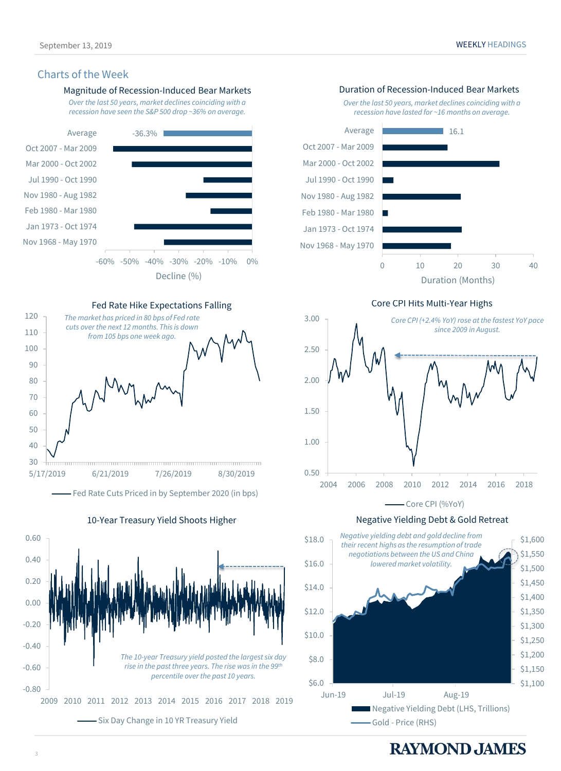#### Charts of the Week



![](_page_2_Figure_3.jpeg)

Fed Rate Cuts Priced in by September 2020 (in bps)

10-Year Treasury Yield Shoots Higher

-0.80 -0.60  $-0.40$  $-0.20$ 0.00 0.20 0.40 0.60 2009 2010 2011 2012 2013 2014 2015 2016 2017 2018 2019 - Six Day Change in 10 YR Treasury Yield *The 10-year Treasury yield posted the largest six day rise in the past three years. The rise was in the 99th percentile over the past 10 years.*

September 13, 2019 WEEKLY HEADINGS

*Over the last 50 years, market declines coinciding with a recession have lasted for ~16 months on average.*

![](_page_2_Figure_9.jpeg)

Core CPI Hits Multi-Year Highs

![](_page_2_Figure_11.jpeg)

Negative Yielding Debt & Gold Retreat

![](_page_2_Figure_13.jpeg)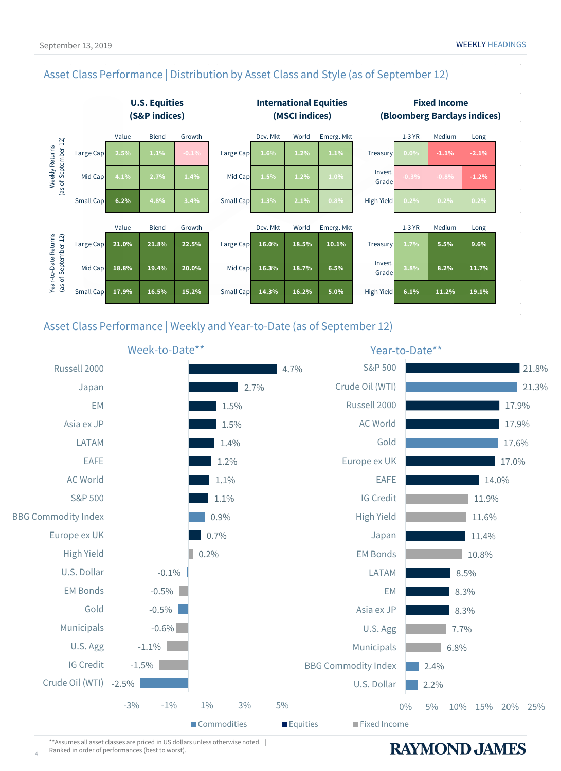### Asset Class Performance | Distribution by Asset Class and Style (as of September 12)

![](_page_3_Figure_3.jpeg)

Asset Class Performance | Weekly and Year-to-Date (as of September 12)

![](_page_3_Figure_5.jpeg)

\*\*Assumes all asset classes are priced in US dollars unless otherwise noted. | Ranked in order of performances (best to worst).

4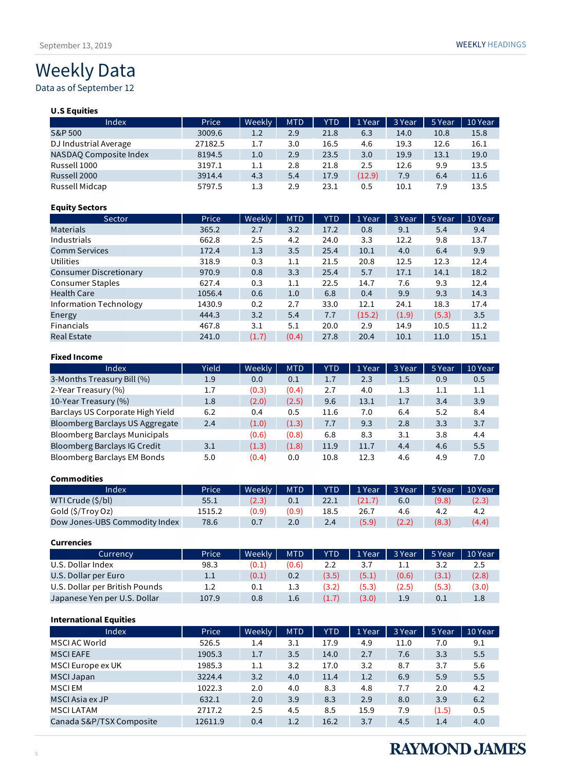## Weekly Data

### Data as of September 12

| <b>U.S Equities</b>    |         |        |            |            |        |        |        |         |
|------------------------|---------|--------|------------|------------|--------|--------|--------|---------|
| Index                  | Price   | Weekly | <b>MTD</b> | <b>YTD</b> | 1 Year | 3 Year | 5 Year | 10 Year |
| S&P 500                | 3009.6  | 1.2    | 2.9        | 21.8       | 6.3    | 14.0   | 10.8   | 15.8    |
| DJ Industrial Average  | 27182.5 | 1.7    | 3.0        | 16.5       | 4.6    | 19.3   | 12.6   | 16.1    |
| NASDAQ Composite Index | 8194.5  | 1.0    | 2.9        | 23.5       | 3.0    | 19.9   | 13.1   | 19.0    |
| Russell 1000           | 3197.1  | 1.1    | 2.8        | 21.8       | 2.5    | 12.6   | 9.9    | 13.5    |
| Russell 2000           | 3914.4  | 4.3    | 5.4        | 17.9       | (12.9) | 7.9    | 6.4    | 11.6    |
| Russell Midcap         | 5797.5  | 1.3    | 2.9        | 23.1       | 0.5    | 10.1   | 7.9    | 13.5    |

#### **Equity Sectors**

| Sector                        | Price  | Weekly | <b>MTD</b> | <b>YTD</b> | 1 Year | 3 Year | 5 Year | 10 Year |
|-------------------------------|--------|--------|------------|------------|--------|--------|--------|---------|
| <b>Materials</b>              | 365.2  | 2.7    | 3.2        | 17.2       | 0.8    | 9.1    | 5.4    | 9.4     |
| Industrials                   | 662.8  | 2.5    | 4.2        | 24.0       | 3.3    | 12.2   | 9.8    | 13.7    |
| <b>Comm Services</b>          | 172.4  | 1.3    | 3.5        | 25.4       | 10.1   | 4.0    | 6.4    | 9.9     |
| <b>Utilities</b>              | 318.9  | 0.3    | 1.1        | 21.5       | 20.8   | 12.5   | 12.3   | 12.4    |
| <b>Consumer Discretionary</b> | 970.9  | 0.8    | 3.3        | 25.4       | 5.7    | 17.1   | 14.1   | 18.2    |
| <b>Consumer Staples</b>       | 627.4  | 0.3    | 1.1        | 22.5       | 14.7   | 7.6    | 9.3    | 12.4    |
| <b>Health Care</b>            | 1056.4 | 0.6    | 1.0        | 6.8        | 0.4    | 9.9    | 9.3    | 14.3    |
| Information Technology        | 1430.9 | 0.2    | 2.7        | 33.0       | 12.1   | 24.1   | 18.3   | 17.4    |
| Energy                        | 444.3  | 3.2    | 5.4        | 7.7        | (15.2) | (1.9)  | (5.3)  | 3.5     |
| <b>Financials</b>             | 467.8  | 3.1    | 5.1        | 20.0       | 2.9    | 14.9   | 10.5   | 11.2    |
| <b>Real Estate</b>            | 241.0  | (1.7)  | (0.4)      | 27.8       | 20.4   | 10.1   | 11.0   | 15.1    |

#### **Fixed Income**

| Index                                | Yield | Weekly | <b>MTD</b> | <b>YTD</b> | 1 Year | 3 Year | 5 Year | 10 Year |
|--------------------------------------|-------|--------|------------|------------|--------|--------|--------|---------|
| 3-Months Treasury Bill (%)           | 1.9   | 0.0    | 0.1        | 1.7        | 2.3    | 1.5    | 0.9    | 0.5     |
| 2-Year Treasury (%)                  | 1.7   | (0.3)  | (0.4)      | 2.7        | 4.0    | 1.3    | 1.1    | 1.1     |
| 10-Year Treasury (%)                 | 1.8   | (2.0)  | (2.5)      | 9.6        | 13.1   | 1.7    | 3.4    | 3.9     |
| Barclays US Corporate High Yield     | 6.2   | 0.4    | 0.5        | 11.6       | 7.0    | 6.4    | 5.2    | 8.4     |
| Bloomberg Barclays US Aggregate      | 2.4   | (1.0)  | (1.3)      | 7.7        | 9.3    | 2.8    | 3.3    | 3.7     |
| <b>Bloomberg Barclays Municipals</b> |       | (0.6)  | (0.8)      | 6.8        | 8.3    | 3.1    | 3.8    | 4.4     |
| Bloomberg Barclays IG Credit         | 3.1   | (1.3)  | (1.8)      | 11.9       | 11.7   | 4.4    | 4.6    | 5.5     |
| Bloomberg Barclays EM Bonds          | 5.0   | (0.4)  | 0.0        | 10.8       | 12.3   | 4.6    | 4.9    | 7.0     |

#### **Commodities**

| Index                         | Price  | Weekly | <b>MTD</b> | <b>YTD</b> | 1 Year | 3 Year | 5 Year | 10 Year |
|-------------------------------|--------|--------|------------|------------|--------|--------|--------|---------|
| WTI Crude (\$/bl)             | 55.1   | (2.3)  | 0.1        | 22.1       |        | 6.0    | (9.8)  | (2.3)   |
| Gold (\$/Troy Oz)             | 1515.2 | (0.9)  | (0.9)      | 18.5       | 26.7   | 4.6    | 4.2    | 4.2     |
| Dow Jones-UBS Commodity Index | 78.6   | 0.7    | 2.0        | 2.4        | (5.9)  | (2.2)  | (8.3)  | (4.4)   |

#### **Currencies**

| Currency                       | Price   | Weekly | <b>MTD</b> | <b>YTD</b> | 1 Year | $\vert$ 3 Year | 5 Year | 10 Year |
|--------------------------------|---------|--------|------------|------------|--------|----------------|--------|---------|
| U.S. Dollar Index              | 98.3    | (0.1)  | (0.6)      | 2.2        |        |                | 3.2    | 2.5     |
| U.S. Dollar per Euro           | $1.1\,$ | (0.1)  | 0.2        | (3.5)      | (5.1)  | (0.6)          | (3.1)  | (2.8)   |
| U.S. Dollar per British Pounds | $1.2\,$ | 0.1    | 1.3        | (3.2)      | (5.3)  | (2.5)          | (5.3)  | (3.0)   |
| Japanese Yen per U.S. Dollar   | 107.9   | 0.8    | 1.6        |            | (3.0)  | 1.9            | 0.1    | $1.8\,$ |

#### **International Equities**

| Index                    | Price   | Weekly | <b>MTD</b> | <b>YTD</b> | 1 Year | 3 Year | 5 Year | 10 Year |
|--------------------------|---------|--------|------------|------------|--------|--------|--------|---------|
| MSCI AC World            | 526.5   | 1.4    | 3.1        | 17.9       | 4.9    | 11.0   | 7.0    | 9.1     |
| <b>MSCI EAFE</b>         | 1905.3  | 1.7    | 3.5        | 14.0       | 2.7    | 7.6    | 3.3    | 5.5     |
| MSCI Europe ex UK        | 1985.3  | 1.1    | 3.2        | 17.0       | 3.2    | 8.7    | 3.7    | 5.6     |
| <b>MSCI Japan</b>        | 3224.4  | 3.2    | 4.0        | 11.4       | 1.2    | 6.9    | 5.9    | 5.5     |
| <b>MSCIEM</b>            | 1022.3  | 2.0    | 4.0        | 8.3        | 4.8    | 7.7    | 2.0    | 4.2     |
| MSCI Asia ex JP          | 632.1   | 2.0    | 3.9        | 8.3        | 2.9    | 8.0    | 3.9    | 6.2     |
| <b>MSCILATAM</b>         | 2717.2  | 2.5    | 4.5        | 8.5        | 15.9   | 7.9    | (1.5)  | 0.5     |
| Canada S&P/TSX Composite | 12611.9 | 0.4    | 1.2        | 16.2       | 3.7    | 4.5    | 1.4    | 4.0     |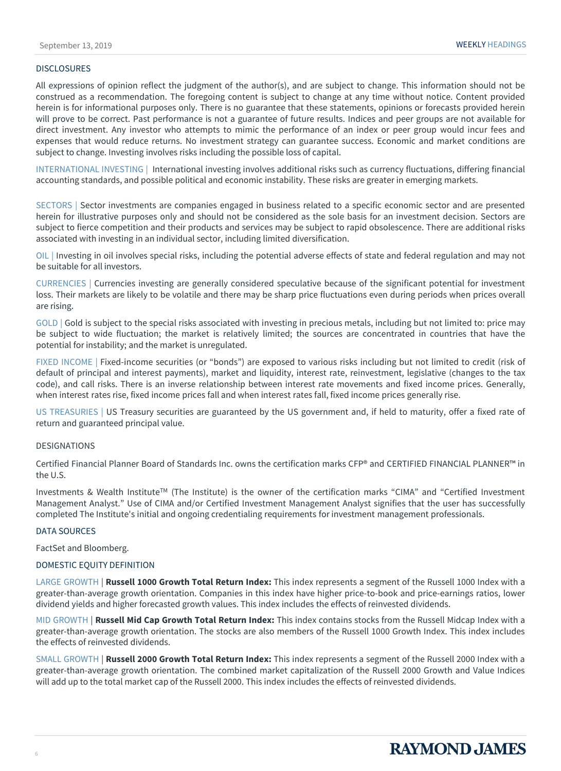#### **DISCLOSURES**

All expressions of opinion reflect the judgment of the author(s), and are subject to change. This information should not be construed as a recommendation. The foregoing content is subject to change at any time without notice. Content provided herein is for informational purposes only. There is no guarantee that these statements, opinions or forecasts provided herein will prove to be correct. Past performance is not a guarantee of future results. Indices and peer groups are not available for direct investment. Any investor who attempts to mimic the performance of an index or peer group would incur fees and expenses that would reduce returns. No investment strategy can guarantee success. Economic and market conditions are subject to change. Investing involves risks including the possible loss of capital.

INTERNATIONAL INVESTING | International investing involves additional risks such as currency fluctuations, differing financial accounting standards, and possible political and economic instability. These risks are greater in emerging markets.

SECTORS | Sector investments are companies engaged in business related to a specific economic sector and are presented herein for illustrative purposes only and should not be considered as the sole basis for an investment decision. Sectors are subject to fierce competition and their products and services may be subject to rapid obsolescence. There are additional risks associated with investing in an individual sector, including limited diversification.

OIL | Investing in oil involves special risks, including the potential adverse effects of state and federal regulation and may not be suitable for all investors.

CURRENCIES | Currencies investing are generally considered speculative because of the significant potential for investment loss. Their markets are likely to be volatile and there may be sharp price fluctuations even during periods when prices overall are rising.

GOLD | Gold is subject to the special risks associated with investing in precious metals, including but not limited to: price may be subject to wide fluctuation; the market is relatively limited; the sources are concentrated in countries that have the potential for instability; and the market is unregulated.

FIXED INCOME | Fixed-income securities (or "bonds") are exposed to various risks including but not limited to credit (risk of default of principal and interest payments), market and liquidity, interest rate, reinvestment, legislative (changes to the tax code), and call risks. There is an inverse relationship between interest rate movements and fixed income prices. Generally, when interest rates rise, fixed income prices fall and when interest rates fall, fixed income prices generally rise.

US TREASURIES | US Treasury securities are guaranteed by the US government and, if held to maturity, offer a fixed rate of return and guaranteed principal value.

#### **DESIGNATIONS**

Certified Financial Planner Board of Standards Inc. owns the certification marks CFP® and CERTIFIED FINANCIAL PLANNER™ in the U.S.

Investments & Wealth Institute<sup>TM</sup> (The Institute) is the owner of the certification marks "CIMA" and "Certified Investment Management Analyst." Use of CIMA and/or Certified Investment Management Analyst signifies that the user has successfully completed The Institute's initial and ongoing credentialing requirements for investment management professionals.

#### DATA SOURCES

FactSet and Bloomberg.

#### DOMESTIC EQUITY DEFINITION

LARGE GROWTH | **Russell 1000 Growth Total Return Index:** This index represents a segment of the Russell 1000 Index with a greater-than-average growth orientation. Companies in this index have higher price-to-book and price-earnings ratios, lower dividend yields and higher forecasted growth values. This index includes the effects of reinvested dividends.

MID GROWTH | **Russell Mid Cap Growth Total Return Index:** This index contains stocks from the Russell Midcap Index with a greater-than-average growth orientation. The stocks are also members of the Russell 1000 Growth Index. This index includes the effects of reinvested dividends.

SMALL GROWTH | **Russell 2000 Growth Total Return Index:** This index represents a segment of the Russell 2000 Index with a greater-than-average growth orientation. The combined market capitalization of the Russell 2000 Growth and Value Indices will add up to the total market cap of the Russell 2000. This index includes the effects of reinvested dividends.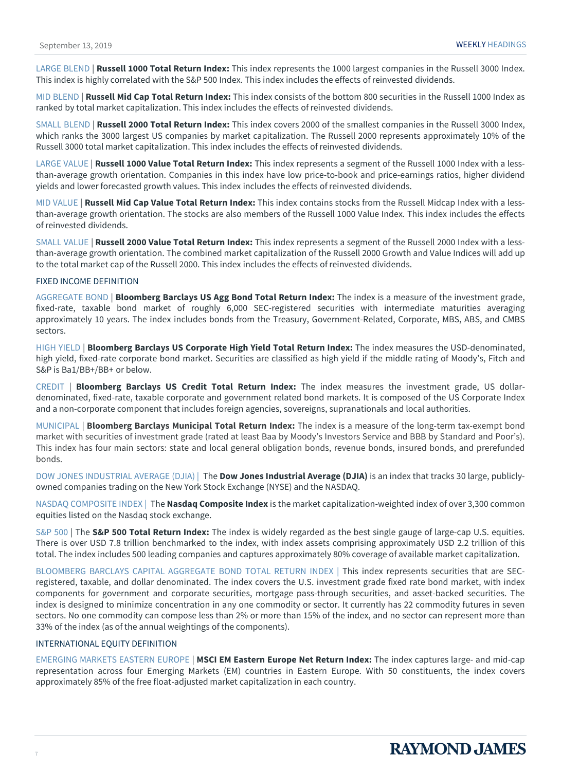LARGE BLEND | **Russell 1000 Total Return Index:** This index represents the 1000 largest companies in the Russell 3000 Index. This index is highly correlated with the S&P 500 Index. This index includes the effects of reinvested dividends.

MID BLEND | **Russell Mid Cap Total Return Index:** This index consists of the bottom 800 securities in the Russell 1000 Index as ranked by total market capitalization. This index includes the effects of reinvested dividends.

SMALL BLEND | **Russell 2000 Total Return Index:** This index covers 2000 of the smallest companies in the Russell 3000 Index, which ranks the 3000 largest US companies by market capitalization. The Russell 2000 represents approximately 10% of the Russell 3000 total market capitalization. This index includes the effects of reinvested dividends.

LARGE VALUE | **Russell 1000 Value Total Return Index:** This index represents a segment of the Russell 1000 Index with a lessthan-average growth orientation. Companies in this index have low price-to-book and price-earnings ratios, higher dividend yields and lower forecasted growth values. This index includes the effects of reinvested dividends.

MID VALUE | **Russell Mid Cap Value Total Return Index:** This index contains stocks from the Russell Midcap Index with a lessthan-average growth orientation. The stocks are also members of the Russell 1000 Value Index. This index includes the effects of reinvested dividends.

SMALL VALUE | **Russell 2000 Value Total Return Index:** This index represents a segment of the Russell 2000 Index with a lessthan-average growth orientation. The combined market capitalization of the Russell 2000 Growth and Value Indices will add up to the total market cap of the Russell 2000. This index includes the effects of reinvested dividends.

#### FIXED INCOME DEFINITION

AGGREGATE BOND | **Bloomberg Barclays US Agg Bond Total Return Index:** The index is a measure of the investment grade, fixed-rate, taxable bond market of roughly 6,000 SEC-registered securities with intermediate maturities averaging approximately 10 years. The index includes bonds from the Treasury, Government-Related, Corporate, MBS, ABS, and CMBS sectors.

HIGH YIELD | **Bloomberg Barclays US Corporate High Yield Total Return Index:** The index measures the USD-denominated, high yield, fixed-rate corporate bond market. Securities are classified as high yield if the middle rating of Moody's, Fitch and S&P is Ba1/BB+/BB+ or below.

CREDIT | **Bloomberg Barclays US Credit Total Return Index:** The index measures the investment grade, US dollardenominated, fixed-rate, taxable corporate and government related bond markets. It is composed of the US Corporate Index and a non-corporate component that includes foreign agencies, sovereigns, supranationals and local authorities.

MUNICIPAL | **Bloomberg Barclays Municipal Total Return Index:** The index is a measure of the long-term tax-exempt bond market with securities of investment grade (rated at least Baa by Moody's Investors Service and BBB by Standard and Poor's). This index has four main sectors: state and local general obligation bonds, revenue bonds, insured bonds, and prerefunded bonds.

DOW JONES INDUSTRIAL AVERAGE (DJIA) | The **Dow Jones Industrial Average (DJIA)** is an index that tracks 30 large, publiclyowned companies trading on the New York Stock Exchange (NYSE) and the NASDAQ.

NASDAQ COMPOSITE INDEX | The **Nasdaq Composite Index** is the market capitalization-weighted index of over 3,300 common equities listed on the Nasdaq stock exchange.

S&P 500 | The **S&P 500 Total Return Index:** The index is widely regarded as the best single gauge of large-cap U.S. equities. There is over USD 7.8 trillion benchmarked to the index, with index assets comprising approximately USD 2.2 trillion of this total. The index includes 500 leading companies and captures approximately 80% coverage of available market capitalization.

BLOOMBERG BARCLAYS CAPITAL AGGREGATE BOND TOTAL RETURN INDEX | This index represents securities that are SECregistered, taxable, and dollar denominated. The index covers the U.S. investment grade fixed rate bond market, with index components for government and corporate securities, mortgage pass-through securities, and asset-backed securities. The index is designed to minimize concentration in any one commodity or sector. It currently has 22 commodity futures in seven sectors. No one commodity can compose less than 2% or more than 15% of the index, and no sector can represent more than 33% of the index (as of the annual weightings of the components).

#### INTERNATIONAL EQUITY DEFINITION

EMERGING MARKETS EASTERN EUROPE | **MSCI EM Eastern Europe Net Return Index:** The index captures large- and mid-cap representation across four Emerging Markets (EM) countries in Eastern Europe. With 50 constituents, the index covers approximately 85% of the free float-adjusted market capitalization in each country.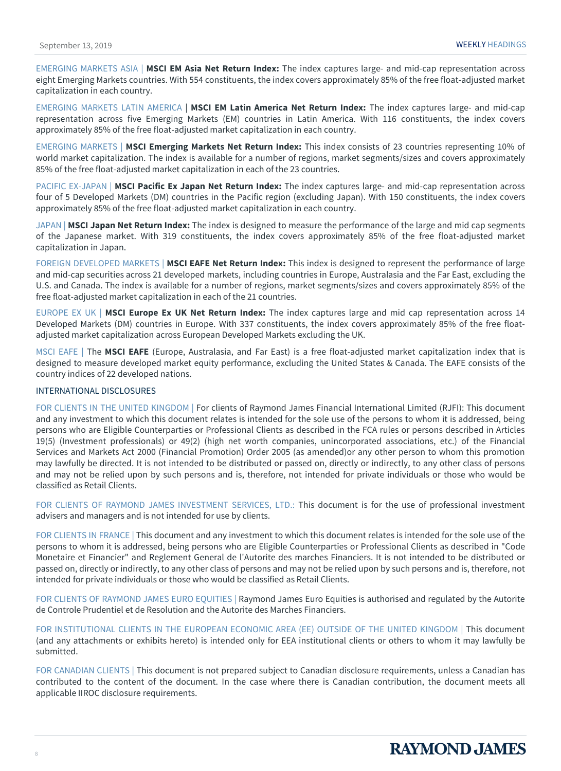EMERGING MARKETS ASIA | **MSCI EM Asia Net Return Index:** The index captures large- and mid-cap representation across eight Emerging Markets countries. With 554 constituents, the index covers approximately 85% of the free float-adjusted market capitalization in each country.

EMERGING MARKETS LATIN AMERICA | **MSCI EM Latin America Net Return Index:** The index captures large- and mid-cap representation across five Emerging Markets (EM) countries in Latin America. With 116 constituents, the index covers approximately 85% of the free float-adjusted market capitalization in each country.

EMERGING MARKETS | **MSCI Emerging Markets Net Return Index:** This index consists of 23 countries representing 10% of world market capitalization. The index is available for a number of regions, market segments/sizes and covers approximately 85% of the free float-adjusted market capitalization in each of the 23 countries.

PACIFIC EX-JAPAN | **MSCI Pacific Ex Japan Net Return Index:** The index captures large- and mid-cap representation across four of 5 Developed Markets (DM) countries in the Pacific region (excluding Japan). With 150 constituents, the index covers approximately 85% of the free float-adjusted market capitalization in each country.

JAPAN | **MSCI Japan Net Return Index:** The index is designed to measure the performance of the large and mid cap segments of the Japanese market. With 319 constituents, the index covers approximately 85% of the free float-adjusted market capitalization in Japan.

FOREIGN DEVELOPED MARKETS | **MSCI EAFE Net Return Index:** This index is designed to represent the performance of large and mid-cap securities across 21 developed markets, including countries in Europe, Australasia and the Far East, excluding the U.S. and Canada. The index is available for a number of regions, market segments/sizes and covers approximately 85% of the free float-adjusted market capitalization in each of the 21 countries.

EUROPE EX UK | **MSCI Europe Ex UK Net Return Index:** The index captures large and mid cap representation across 14 Developed Markets (DM) countries in Europe. With 337 constituents, the index covers approximately 85% of the free floatadjusted market capitalization across European Developed Markets excluding the UK.

MSCI EAFE | The **MSCI EAFE** (Europe, Australasia, and Far East) is a free float-adjusted market capitalization index that is designed to measure developed market equity performance, excluding the United States & Canada. The EAFE consists of the country indices of 22 developed nations.

#### INTERNATIONAL DISCLOSURES

FOR CLIENTS IN THE UNITED KINGDOM | For clients of Raymond James Financial International Limited (RJFI): This document and any investment to which this document relates is intended for the sole use of the persons to whom it is addressed, being persons who are Eligible Counterparties or Professional Clients as described in the FCA rules or persons described in Articles 19(5) (Investment professionals) or 49(2) (high net worth companies, unincorporated associations, etc.) of the Financial Services and Markets Act 2000 (Financial Promotion) Order 2005 (as amended)or any other person to whom this promotion may lawfully be directed. It is not intended to be distributed or passed on, directly or indirectly, to any other class of persons and may not be relied upon by such persons and is, therefore, not intended for private individuals or those who would be classified as Retail Clients.

FOR CLIENTS OF RAYMOND JAMES INVESTMENT SERVICES, LTD.: This document is for the use of professional investment advisers and managers and is not intended for use by clients.

FOR CLIENTS IN FRANCE | This document and any investment to which this document relates is intended for the sole use of the persons to whom it is addressed, being persons who are Eligible Counterparties or Professional Clients as described in "Code Monetaire et Financier" and Reglement General de l'Autorite des marches Financiers. It is not intended to be distributed or passed on, directly or indirectly, to any other class of persons and may not be relied upon by such persons and is, therefore, not intended for private individuals or those who would be classified as Retail Clients.

FOR CLIENTS OF RAYMOND JAMES EURO EQUITIES | Raymond James Euro Equities is authorised and regulated by the Autorite de Controle Prudentiel et de Resolution and the Autorite des Marches Financiers.

FOR INSTITUTIONAL CLIENTS IN THE EUROPEAN ECONOMIC AREA (EE) OUTSIDE OF THE UNITED KINGDOM | This document (and any attachments or exhibits hereto) is intended only for EEA institutional clients or others to whom it may lawfully be submitted.

FOR CANADIAN CLIENTS | This document is not prepared subject to Canadian disclosure requirements, unless a Canadian has contributed to the content of the document. In the case where there is Canadian contribution, the document meets all applicable IIROC disclosure requirements.